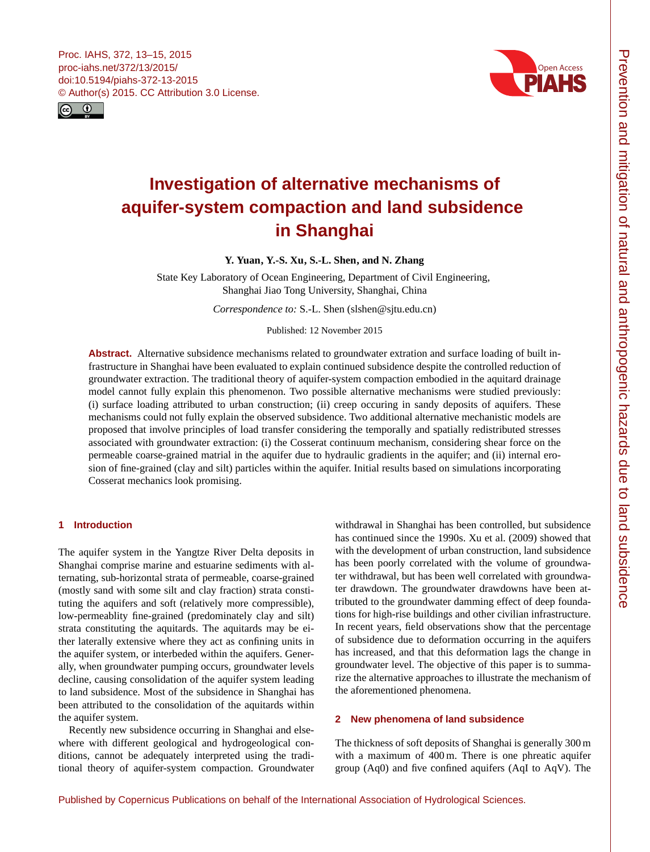<span id="page-0-0"></span>



# **Investigation of alternative mechanisms of aquifer-system compaction and land subsidence in Shanghai**

**Y. Yuan, Y.-S. Xu, S.-L. Shen, and N. Zhang**

State Key Laboratory of Ocean Engineering, Department of Civil Engineering, Shanghai Jiao Tong University, Shanghai, China

*Correspondence to:* S.-L. Shen (slshen@sjtu.edu.cn)

Published: 12 November 2015

**Abstract.** Alternative subsidence mechanisms related to groundwater extration and surface loading of built infrastructure in Shanghai have been evaluated to explain continued subsidence despite the controlled reduction of groundwater extraction. The traditional theory of aquifer-system compaction embodied in the aquitard drainage model cannot fully explain this phenomenon. Two possible alternative mechanisms were studied previously: (i) surface loading attributed to urban construction; (ii) creep occuring in sandy deposits of aquifers. These mechanisms could not fully explain the observed subsidence. Two additional alternative mechanistic models are proposed that involve principles of load transfer considering the temporally and spatially redistributed stresses associated with groundwater extraction: (i) the Cosserat continuum mechanism, considering shear force on the permeable coarse-grained matrial in the aquifer due to hydraulic gradients in the aquifer; and (ii) internal erosion of fine-grained (clay and silt) particles within the aquifer. Initial results based on simulations incorporating Cosserat mechanics look promising.

## **1 Introduction**

The aquifer system in the Yangtze River Delta deposits in Shanghai comprise marine and estuarine sediments with alternating, sub-horizontal strata of permeable, coarse-grained (mostly sand with some silt and clay fraction) strata constituting the aquifers and soft (relatively more compressible), low-permeablity fine-grained (predominately clay and silt) strata constituting the aquitards. The aquitards may be either laterally extensive where they act as confining units in the aquifer system, or interbeded within the aquifers. Generally, when groundwater pumping occurs, groundwater levels decline, causing consolidation of the aquifer system leading to land subsidence. Most of the subsidence in Shanghai has been attributed to the consolidation of the aquitards within the aquifer system.

Recently new subsidence occurring in Shanghai and elsewhere with different geological and hydrogeological conditions, cannot be adequately interpreted using the traditional theory of aquifer-system compaction. Groundwater

withdrawal in Shanghai has been controlled, but subsidence has continued since the 1990s. Xu et al. (2009) showed that with the development of urban construction, land subsidence has been poorly correlated with the volume of groundwater withdrawal, but has been well correlated with groundwater drawdown. The groundwater drawdowns have been attributed to the groundwater damming effect of deep foundations for high-rise buildings and other civilian infrastructure. In recent years, field observations show that the percentage of subsidence due to deformation occurring in the aquifers has increased, and that this deformation lags the change in groundwater level. The objective of this paper is to summarize the alternative approaches to illustrate the mechanism of the aforementioned phenomena.

## **2 New phenomena of land subsidence**

The thickness of soft deposits of Shanghai is generally 300 m with a maximum of 400 m. There is one phreatic aquifer group (Aq0) and five confined aquifers (AqI to AqV). The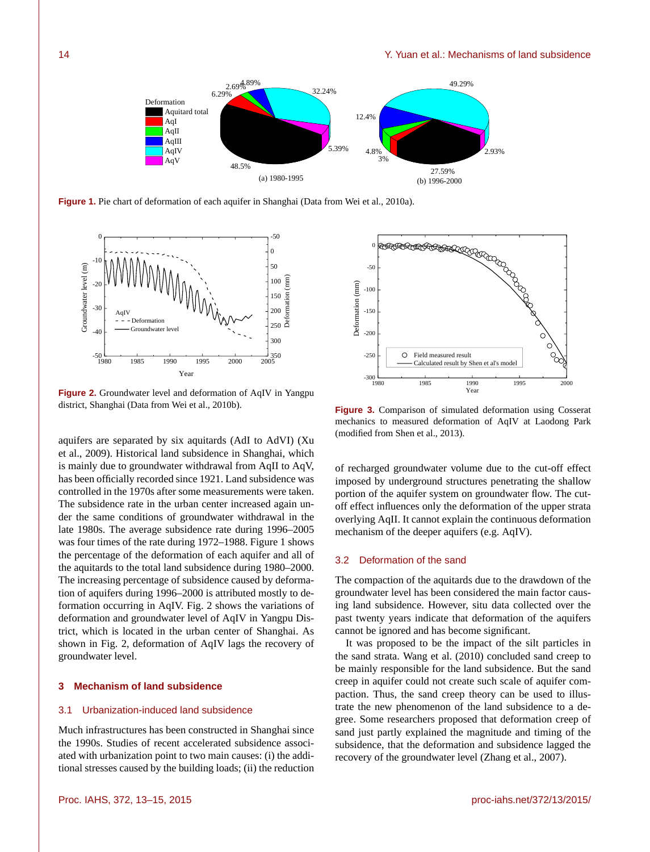

**Figure 1.** Pie chart of deformation of each aquifer in Shanghai (Data from Wei et al., 2010a).



**Figure 2.** Groundwater level and deformation of AqIV in Yangpu district, Shanghai (Data from Wei et al., 2010b).

aquifers are separated by six aquitards (AdI to AdVI) (Xu et al., 2009). Historical land subsidence in Shanghai, which is mainly due to groundwater withdrawal from AqII to AqV, has been officially recorded since 1921. Land subsidence was controlled in the 1970s after some measurements were taken. The subsidence rate in the urban center increased again under the same conditions of groundwater withdrawal in the late 1980s. The average subsidence rate during 1996–2005 was four times of the rate during 1972–1988. Figure 1 shows the percentage of the deformation of each aquifer and all of the aquitards to the total land subsidence during 1980–2000. The increasing percentage of subsidence caused by deformation of aquifers during 1996–2000 is attributed mostly to deformation occurring in AqIV. Fig. 2 shows the variations of deformation and groundwater level of AqIV in Yangpu District, which is located in the urban center of Shanghai. As shown in Fig. 2, deformation of AqIV lags the recovery of groundwater level.

#### **3 Mechanism of land subsidence**

## 3.1 Urbanization-induced land subsidence

Much infrastructures has been constructed in Shanghai since the 1990s. Studies of recent accelerated subsidence associated with urbanization point to two main causes: (i) the additional stresses caused by the building loads; (ii) the reduction



**Figure 3.** Comparison of simulated deformation using Cosserat mechanics to measured deformation of AqIV at Laodong Park (modified from Shen et al., 2013).

of recharged groundwater volume due to the cut-off effect imposed by underground structures penetrating the shallow portion of the aquifer system on groundwater flow. The cutoff effect influences only the deformation of the upper strata overlying AqII. It cannot explain the continuous deformation mechanism of the deeper aquifers (e.g. AqIV).

#### 3.2 Deformation of the sand

The compaction of the aquitards due to the drawdown of the groundwater level has been considered the main factor causing land subsidence. However, situ data collected over the past twenty years indicate that deformation of the aquifers cannot be ignored and has become significant.

It was proposed to be the impact of the silt particles in the sand strata. Wang et al. (2010) concluded sand creep to be mainly responsible for the land subsidence. But the sand creep in aquifer could not create such scale of aquifer compaction. Thus, the sand creep theory can be used to illustrate the new phenomenon of the land subsidence to a degree. Some researchers proposed that deformation creep of sand just partly explained the magnitude and timing of the subsidence, that the deformation and subsidence lagged the recovery of the groundwater level (Zhang et al., 2007).